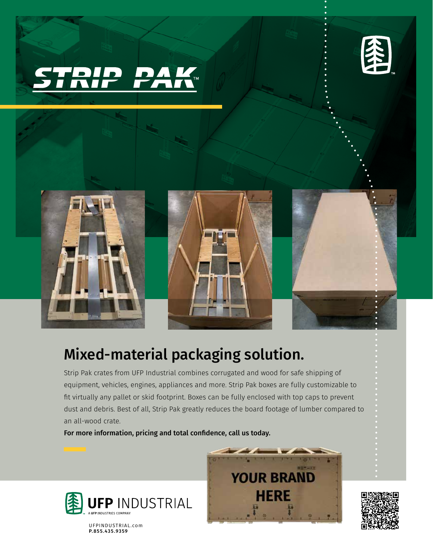





## Mixed-material packaging solution.

Strip Pak crates from UFP Industrial combines corrugated and wood for safe shipping of equipment, vehicles, engines, appliances and more. Strip Pak boxes are fully customizable to fit virtually any pallet or skid footprint. Boxes can be fully enclosed with top caps to prevent dust and debris. Best of all, Strip Pak greatly reduces the board footage of lumber compared to an all-wood crate.

For more information, pricing and total confidence, call us today.



UFPINDUSTRIAL.com P.855.435.9359